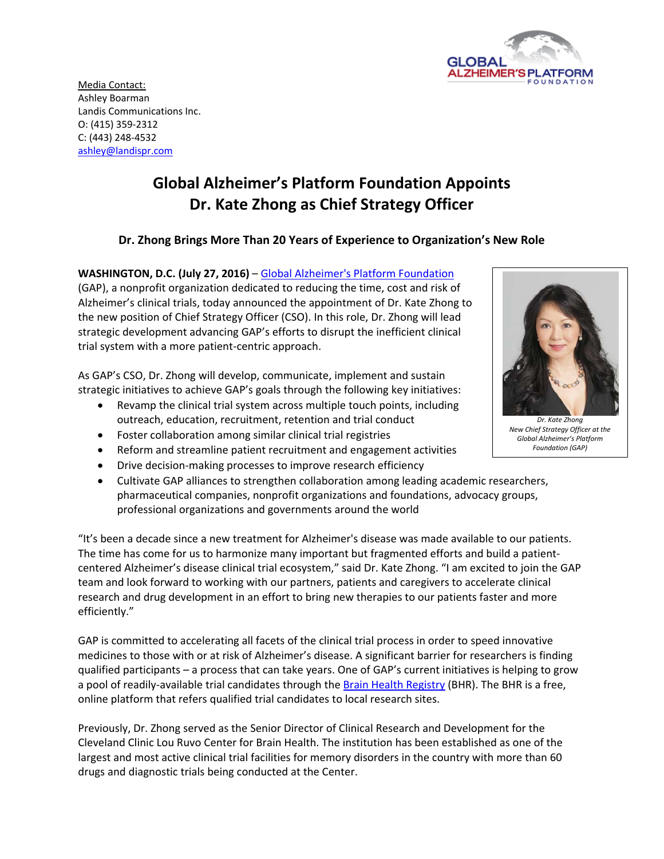

Media Contact: Ashley Boarman Landis Communications Inc. O: (415) 359‐2312 C: (443) 248‐4532 ashley@landispr.com

## **Global Alzheimer's Platform Foundation Appoints Dr. Kate Zhong as Chief Strategy Officer**

## **Dr. Zhong Brings More Than 20 Years of Experience to Organization's New Role**

**WASHINGTON, D.C. (July 27, 2016)** – Global Alzheimer's Platform Foundation (GAP), a nonprofit organization dedicated to reducing the time, cost and risk of Alzheimer's clinical trials, today announced the appointment of Dr. Kate Zhong to the new position of Chief Strategy Officer (CSO). In this role, Dr. Zhong will lead strategic development advancing GAP's efforts to disrupt the inefficient clinical trial system with a more patient‐centric approach.

As GAP's CSO, Dr. Zhong will develop, communicate, implement and sustain strategic initiatives to achieve GAP's goals through the following key initiatives:

- Revamp the clinical trial system across multiple touch points, including outreach, education, recruitment, retention and trial conduct
- Foster collaboration among similar clinical trial registries
- Reform and streamline patient recruitment and engagement activities
- Drive decision-making processes to improve research efficiency
- Cultivate GAP alliances to strengthen collaboration among leading academic researchers, pharmaceutical companies, nonprofit organizations and foundations, advocacy groups, professional organizations and governments around the world

"It's been a decade since a new treatment for Alzheimer's disease was made available to our patients. The time has come for us to harmonize many important but fragmented efforts and build a patient‐ centered Alzheimer's disease clinical trial ecosystem," said Dr. Kate Zhong. "I am excited to join the GAP team and look forward to working with our partners, patients and caregivers to accelerate clinical research and drug development in an effort to bring new therapies to our patients faster and more efficiently."

GAP is committed to accelerating all facets of the clinical trial process in order to speed innovative medicines to those with or at risk of Alzheimer's disease. A significant barrier for researchers is finding qualified participants – a process that can take years. One of GAP's current initiatives is helping to grow a pool of readily‐available trial candidates through the Brain Health Registry (BHR). The BHR is a free, online platform that refers qualified trial candidates to local research sites.

Previously, Dr. Zhong served as the Senior Director of Clinical Research and Development for the Cleveland Clinic Lou Ruvo Center for Brain Health. The institution has been established as one of the largest and most active clinical trial facilities for memory disorders in the country with more than 60 drugs and diagnostic trials being conducted at the Center.



*Dr. Kate Zhong New Chief Strategy Officer at the Global Alzheimer's Platform Foundation (GAP)*